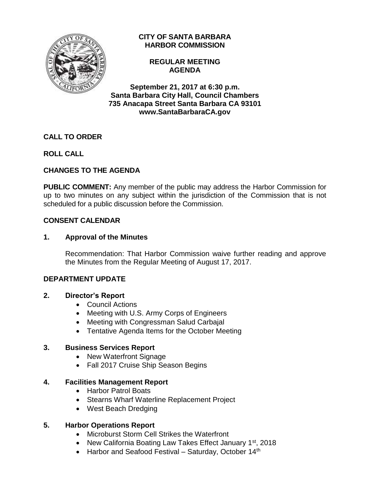

# **CITY OF SANTA BARBARA HARBOR COMMISSION**

### **REGULAR MEETING AGENDA**

**September 21, 2017 at 6:30 p.m. Santa Barbara City Hall, Council Chambers 735 Anacapa Street Santa Barbara CA 93101 www.SantaBarbaraCA.gov**

# **CALL TO ORDER**

# **ROLL CALL**

# **CHANGES TO THE AGENDA**

**PUBLIC COMMENT:** Any member of the public may address the Harbor Commission for up to two minutes on any subject within the jurisdiction of the Commission that is not scheduled for a public discussion before the Commission.

### **CONSENT CALENDAR**

### **1. Approval of the Minutes**

Recommendation: That Harbor Commission waive further reading and approve the Minutes from the Regular Meeting of August 17, 2017.

### **DEPARTMENT UPDATE**

### **2. Director's Report**

- Council Actions
- Meeting with U.S. Army Corps of Engineers
- Meeting with Congressman Salud Carbajal
- Tentative Agenda Items for the October Meeting

### **3. Business Services Report**

- New Waterfront Signage
- Fall 2017 Cruise Ship Season Begins

# **4. Facilities Management Report**

- Harbor Patrol Boats
- Stearns Wharf Waterline Replacement Project
- West Beach Dredging

# **5. Harbor Operations Report**

- Microburst Storm Cell Strikes the Waterfront
- New California Boating Law Takes Effect January 1<sup>st</sup>, 2018
- $\bullet$  Harbor and Seafood Festival Saturday, October 14<sup>th</sup>